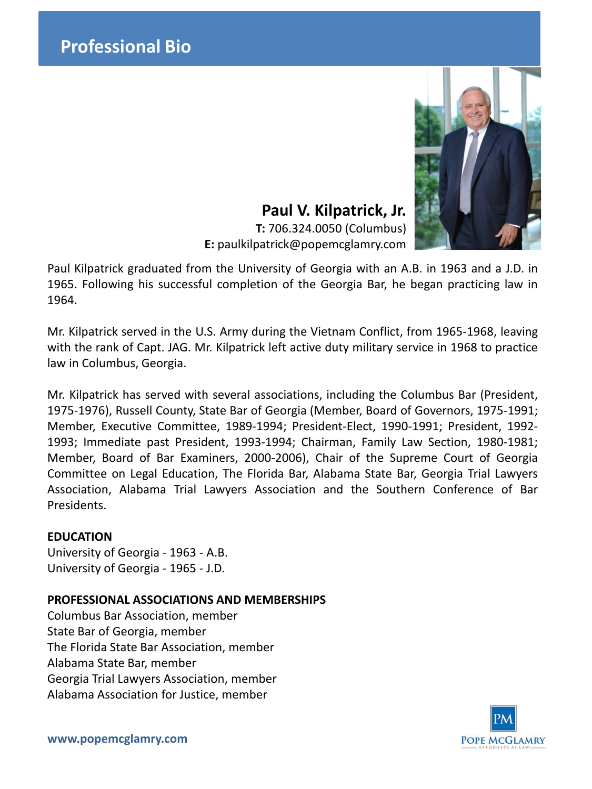# **Paul V. Kilpatrick, Jr.**

**T:** 706.324.0050 (Columbus) **E:** paulkilpatrick@popemcglamry.com

Paul Kilpatrick graduated from the University of Georgia with an A.B. in 1963 and a J.D. in 1965. Following his successful completion of the Georgia Bar, he began practicing law in 1964.

Mr. Kilpatrick served in the U.S. Army during the Vietnam Conflict, from 1965-1968, leaving with the rank of Capt. JAG. Mr. Kilpatrick left active duty military service in 1968 to practice law in Columbus, Georgia.

Mr. Kilpatrick has served with several associations, including the Columbus Bar (President, 1975-1976), Russell County, State Bar of Georgia (Member, Board of Governors, 1975-1991; Member, Executive Committee, 1989-1994; President-Elect, 1990-1991; President, 1992- 1993; Immediate past President, 1993-1994; Chairman, Family Law Section, 1980-1981; Member, Board of Bar Examiners, 2000-2006), Chair of the Supreme Court of Georgia Committee on Legal Education, The Florida Bar, Alabama State Bar, Georgia Trial Lawyers Association, Alabama Trial Lawyers Association and the Southern Conference of Bar Presidents.

## **EDUCATION**

University of Georgia - 1963 - A.B. University of Georgia - 1965 - J.D.

## **PROFESSIONAL ASSOCIATIONS AND MEMBERSHIPS**

Columbus Bar Association, member State Bar of Georgia, member The Florida State Bar Association, member Alabama State Bar, member Georgia Trial Lawyers Association, member Alabama Association for Justice, member